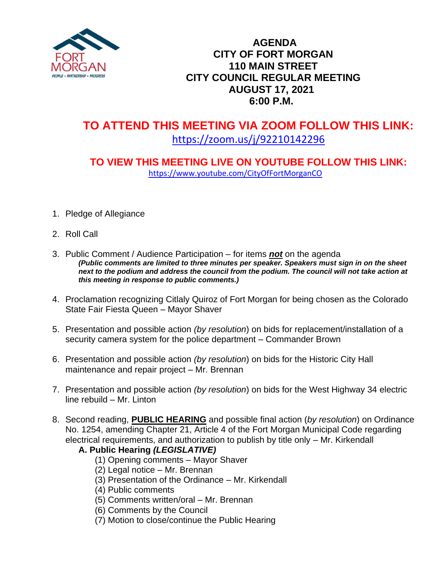

### **AGENDA CITY OF FORT MORGAN 110 MAIN STREET CITY COUNCIL REGULAR MEETING AUGUST 17, 2021 6:00 P.M.**

# **TO ATTEND THIS MEETING VIA ZOOM FOLLOW THIS LINK:** <https://zoom.us/j/92210142296>

## **TO VIEW THIS MEETING LIVE ON YOUTUBE FOLLOW THIS LINK:** <https://www.youtube.com/CityOfFortMorganCO>

- 1. Pledge of Allegiance
- 2. Roll Call
- 3. Public Comment / Audience Participation for items *not* on the agenda *(Public comments are limited to three minutes per speaker. Speakers must sign in on the sheet*  next to the podium and address the council from the podium. The council will not take action at *this meeting in response to public comments.)*
- 4. Proclamation recognizing Citlaly Quiroz of Fort Morgan for being chosen as the Colorado State Fair Fiesta Queen – Mayor Shaver
- 5. Presentation and possible action *(by resolution*) on bids for replacement/installation of a security camera system for the police department – Commander Brown
- 6. Presentation and possible action *(by resolution*) on bids for the Historic City Hall maintenance and repair project – Mr. Brennan
- 7. Presentation and possible action *(by resolution*) on bids for the West Highway 34 electric line rebuild – Mr. Linton
- 8. Second reading, **PUBLIC HEARING** and possible final action (*by resolution*) on Ordinance No. 1254, amending Chapter 21, Article 4 of the Fort Morgan Municipal Code regarding electrical requirements, and authorization to publish by title only – Mr. Kirkendall

#### **A. Public Hearing** *(LEGISLATIVE)*

- (1) Opening comments Mayor Shaver
- (2) Legal notice Mr. Brennan
- (3) Presentation of the Ordinance Mr. Kirkendall
- (4) Public comments
- (5) Comments written/oral Mr. Brennan
- (6) Comments by the Council
- (7) Motion to close/continue the Public Hearing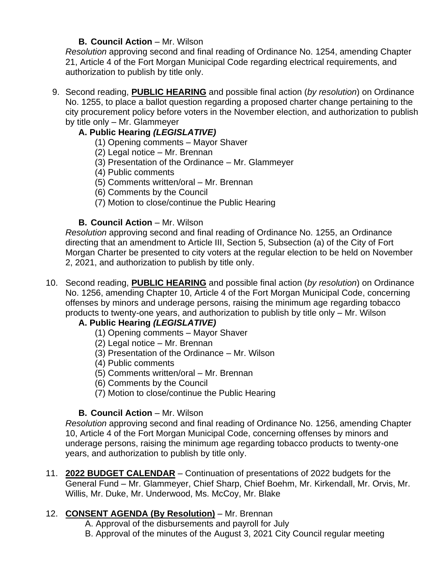#### **B. Council Action – Mr. Wilson**

*Resolution* approving second and final reading of Ordinance No. 1254, amending Chapter 21, Article 4 of the Fort Morgan Municipal Code regarding electrical requirements, and authorization to publish by title only.

9. Second reading, **PUBLIC HEARING** and possible final action (*by resolution*) on Ordinance No. 1255, to place a ballot question regarding a proposed charter change pertaining to the city procurement policy before voters in the November election, and authorization to publish by title only – Mr. Glammeyer

#### **A. Public Hearing** *(LEGISLATIVE)*

- (1) Opening comments Mayor Shaver
- (2) Legal notice Mr. Brennan
- (3) Presentation of the Ordinance Mr. Glammeyer
- (4) Public comments
- (5) Comments written/oral Mr. Brennan
- (6) Comments by the Council
- (7) Motion to close/continue the Public Hearing

#### **B. Council Action – Mr. Wilson**

*Resolution* approving second and final reading of Ordinance No. 1255, an Ordinance directing that an amendment to Article III, Section 5, Subsection (a) of the City of Fort Morgan Charter be presented to city voters at the regular election to be held on November 2, 2021, and authorization to publish by title only.

10. Second reading, **PUBLIC HEARING** and possible final action (*by resolution*) on Ordinance No. 1256, amending Chapter 10, Article 4 of the Fort Morgan Municipal Code, concerning offenses by minors and underage persons, raising the minimum age regarding tobacco products to twenty-one years, and authorization to publish by title only – Mr. Wilson

#### **A. Public Hearing** *(LEGISLATIVE)*

- (1) Opening comments Mayor Shaver
- (2) Legal notice Mr. Brennan
- (3) Presentation of the Ordinance Mr. Wilson
- (4) Public comments
- (5) Comments written/oral Mr. Brennan
- (6) Comments by the Council
- (7) Motion to close/continue the Public Hearing

#### **B. Council Action – Mr. Wilson**

*Resolution* approving second and final reading of Ordinance No. 1256, amending Chapter 10, Article 4 of the Fort Morgan Municipal Code, concerning offenses by minors and underage persons, raising the minimum age regarding tobacco products to twenty-one years, and authorization to publish by title only.

11. **2022 BUDGET CALENDAR** – Continuation of presentations of 2022 budgets for the General Fund – Mr. Glammeyer, Chief Sharp, Chief Boehm, Mr. Kirkendall, Mr. Orvis, Mr. Willis, Mr. Duke, Mr. Underwood, Ms. McCoy, Mr. Blake

#### 12. **CONSENT AGENDA (By Resolution)** – Mr. Brennan

- A. Approval of the disbursements and payroll for July
- B. Approval of the minutes of the August 3, 2021 City Council regular meeting